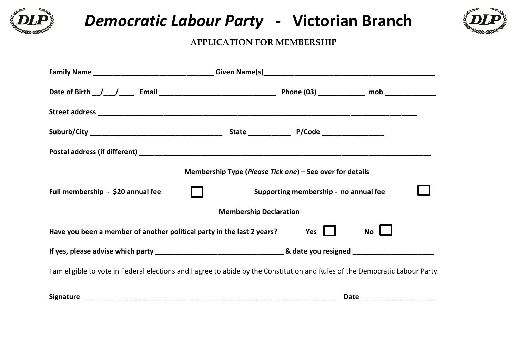

# *Democratic Labour Party -* **Victorian Branch**



### **APPLICATION FOR MEMBERSHIP**

|                                                                        | Membership Type (Please Tick one) – See over for details                                                                      |                        |
|------------------------------------------------------------------------|-------------------------------------------------------------------------------------------------------------------------------|------------------------|
| Full membership - \$20 annual fee                                      | Supporting membership - no annual fee                                                                                         |                        |
|                                                                        | <b>Membership Declaration</b>                                                                                                 |                        |
| Have you been a member of another political party in the last 2 years? | Yes                                                                                                                           | $No$ $\Box$            |
|                                                                        |                                                                                                                               |                        |
|                                                                        | I am eligible to vote in Federal elections and I agree to abide by the Constitution and Rules of the Democratic Labour Party. |                        |
|                                                                        |                                                                                                                               | Date _________________ |